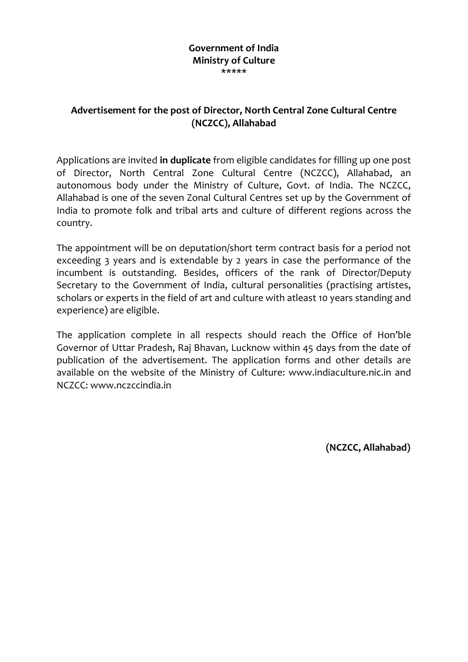### **Government of India Ministry of Culture \*\*\*\*\***

## **Advertisement for the post of Director, North Central Zone Cultural Centre (NCZCC), Allahabad**

Applications are invited **in duplicate** from eligible candidates for filling up one post of Director, North Central Zone Cultural Centre (NCZCC), Allahabad, an autonomous body under the Ministry of Culture, Govt. of India. The NCZCC, Allahabad is one of the seven Zonal Cultural Centres set up by the Government of India to promote folk and tribal arts and culture of different regions across the country.

The appointment will be on deputation/short term contract basis for a period not exceeding 3 years and is extendable by 2 years in case the performance of the incumbent is outstanding. Besides, officers of the rank of Director/Deputy Secretary to the Government of India, cultural personalities (practising artistes, scholars or experts in the field of art and culture with atleast 10 years standing and experience) are eligible.

The application complete in all respects should reach the Office of Hon'ble Governor of Uttar Pradesh, Raj Bhavan, Lucknow within 45 days from the date of publication of the advertisement. The application forms and other details are available on the website of the Ministry of Culture: www.indiaculture.nic.in and NCZCC: www.nczccindia.in

**(NCZCC, Allahabad)**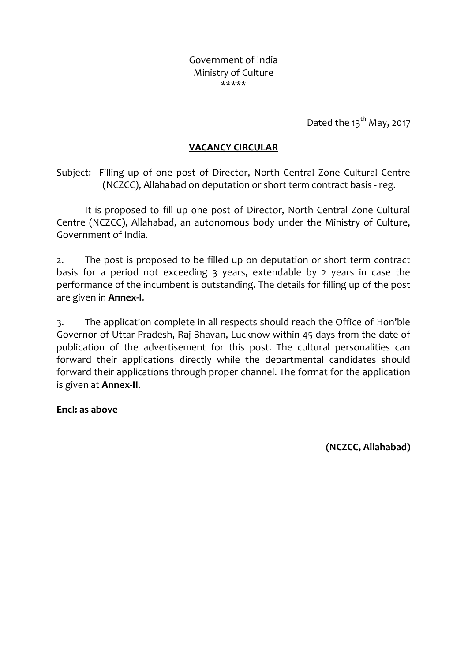Government of India Ministry of Culture \*\*\*\*\*

Dated the  $13<sup>th</sup>$  May, 2017

## **VACANCY CIRCULAR**

Subject: Filling up of one post of Director, North Central Zone Cultural Centre (NCZCC), Allahabad on deputation or short term contract basis - reg.

It is proposed to fill up one post of Director, North Central Zone Cultural Centre (NCZCC), Allahabad, an autonomous body under the Ministry of Culture, Government of India.

2. The post is proposed to be filled up on deputation or short term contract basis for a period not exceeding 3 years, extendable by 2 years in case the performance of the incumbent is outstanding. The details for filling up of the post are given in **Annex-I**.

3. The application complete in all respects should reach the Office of Hon'ble Governor of Uttar Pradesh, Raj Bhavan, Lucknow within 45 days from the date of publication of the advertisement for this post. The cultural personalities can forward their applications directly while the departmental candidates should forward their applications through proper channel. The format for the application is given at **Annex-II**.

**Encl: as above**

**(NCZCC, Allahabad)**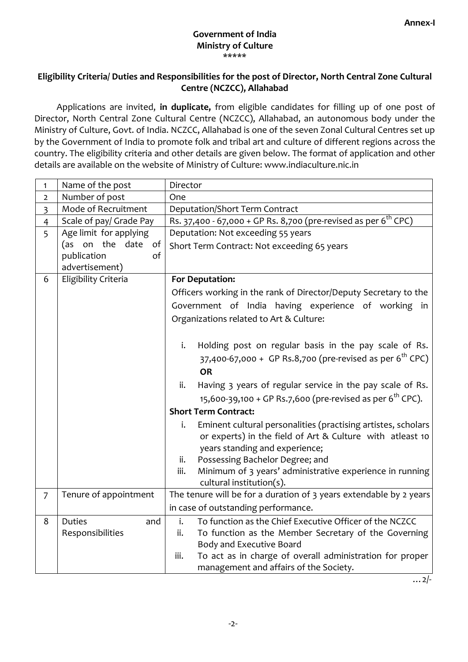#### **Government of India Ministry of Culture** \*\*\*\*\*

## **Eligibility Criteria/ Duties and Responsibilities for the post of Director, North Central Zone Cultural Centre (NCZCC), Allahabad**

Applications are invited, **in duplicate,** from eligible candidates for filling up of one post of Director, North Central Zone Cultural Centre (NCZCC), Allahabad, an autonomous body under the Ministry of Culture, Govt. of India. NCZCC, Allahabad is one of the seven Zonal Cultural Centres set up by the Government of India to promote folk and tribal art and culture of different regions across the country. The eligibility criteria and other details are given below. The format of application and other details are available on the website of Ministry of Culture: www.indiaculture.nic.in

| 1              | Name of the post        | Director                                                                    |  |  |  |  |  |
|----------------|-------------------------|-----------------------------------------------------------------------------|--|--|--|--|--|
| $\overline{2}$ | Number of post          | One                                                                         |  |  |  |  |  |
| 3              | Mode of Recruitment     | <b>Deputation/Short Term Contract</b>                                       |  |  |  |  |  |
| $\overline{4}$ | Scale of pay/ Grade Pay | Rs. 37,400 - 67,000 + GP Rs. 8,700 (pre-revised as per 6 <sup>th</sup> CPC) |  |  |  |  |  |
| 5              | Age limit for applying  | Deputation: Not exceeding 55 years                                          |  |  |  |  |  |
|                | (as on the date of      | Short Term Contract: Not exceeding 65 years                                 |  |  |  |  |  |
|                | publication<br>of       |                                                                             |  |  |  |  |  |
|                | advertisement)          |                                                                             |  |  |  |  |  |
| 6              | Eligibility Criteria    | <b>For Deputation:</b>                                                      |  |  |  |  |  |
|                |                         | Officers working in the rank of Director/Deputy Secretary to the            |  |  |  |  |  |
|                |                         | Government of India having experience of working in                         |  |  |  |  |  |
|                |                         | Organizations related to Art & Culture:                                     |  |  |  |  |  |
|                |                         |                                                                             |  |  |  |  |  |
|                |                         | i.<br>Holding post on regular basis in the pay scale of Rs.                 |  |  |  |  |  |
|                |                         | 37,400-67,000 + GP Rs.8,700 (pre-revised as per 6 <sup>th</sup> CPC)        |  |  |  |  |  |
|                |                         | <b>OR</b>                                                                   |  |  |  |  |  |
|                |                         |                                                                             |  |  |  |  |  |
|                |                         | Having 3 years of regular service in the pay scale of Rs.<br>ii.            |  |  |  |  |  |
|                |                         | 15,600-39,100 + GP Rs.7,600 (pre-revised as per 6 <sup>th</sup> CPC).       |  |  |  |  |  |
|                |                         | <b>Short Term Contract:</b>                                                 |  |  |  |  |  |
|                |                         | Eminent cultural personalities (practising artistes, scholars<br>i.         |  |  |  |  |  |
|                |                         | or experts) in the field of Art & Culture with atleast 10                   |  |  |  |  |  |
|                |                         | years standing and experience;                                              |  |  |  |  |  |
|                |                         | Possessing Bachelor Degree; and<br>ii.                                      |  |  |  |  |  |
|                |                         | Minimum of 3 years' administrative experience in running<br>iii.            |  |  |  |  |  |
|                |                         | cultural institution(s).                                                    |  |  |  |  |  |
| $\overline{7}$ | Tenure of appointment   | The tenure will be for a duration of 3 years extendable by 2 years          |  |  |  |  |  |
|                |                         | in case of outstanding performance.                                         |  |  |  |  |  |
| 8              | <b>Duties</b><br>and    | i.<br>To function as the Chief Executive Officer of the NCZCC               |  |  |  |  |  |
|                | Responsibilities        | To function as the Member Secretary of the Governing<br>ii.                 |  |  |  |  |  |
|                |                         | Body and Executive Board                                                    |  |  |  |  |  |
|                |                         | To act as in charge of overall administration for proper<br>iii.            |  |  |  |  |  |
|                |                         | management and affairs of the Society.                                      |  |  |  |  |  |

 $\ldots$  2/-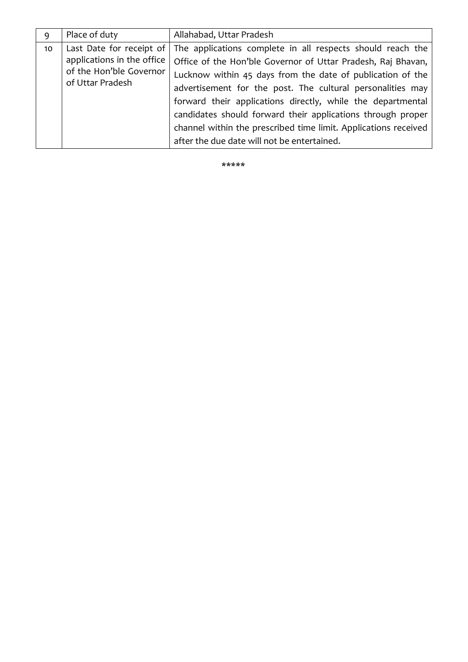| 9  | Place of duty                                                                                         | Allahabad, Uttar Pradesh                                                                                                                                                                                                                                                                                                                                                                                                                                                                               |
|----|-------------------------------------------------------------------------------------------------------|--------------------------------------------------------------------------------------------------------------------------------------------------------------------------------------------------------------------------------------------------------------------------------------------------------------------------------------------------------------------------------------------------------------------------------------------------------------------------------------------------------|
| 10 | Last Date for receipt of<br>applications in the office<br>of the Hon'ble Governor<br>of Uttar Pradesh | The applications complete in all respects should reach the<br>Office of the Hon'ble Governor of Uttar Pradesh, Raj Bhavan,<br>Lucknow within 45 days from the date of publication of the<br>advertisement for the post. The cultural personalities may<br>forward their applications directly, while the departmental<br>candidates should forward their applications through proper<br>channel within the prescribed time limit. Applications received<br>after the due date will not be entertained. |

\*\*\*\*\*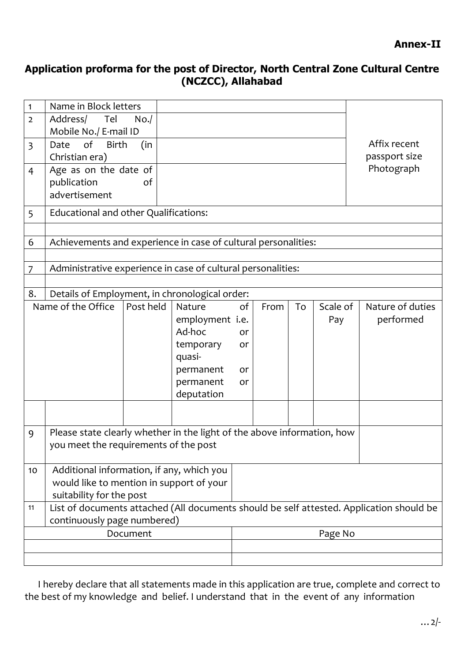# **Application proforma for the post of Director, North Central Zone Cultural Centre (NCZCC), Allahabad**

| $\mathbf{1}$   | Name in Block letters                                                                    |           |                         |         |      |    |          |                  |
|----------------|------------------------------------------------------------------------------------------|-----------|-------------------------|---------|------|----|----------|------------------|
| $\overline{2}$ | Address/ Tel<br>Mobile No./ E-mail ID                                                    | No.       |                         |         |      |    |          |                  |
| $\overline{3}$ | of<br>(in<br><b>Birth</b><br>Date                                                        |           |                         |         |      |    |          | Affix recent     |
|                | Christian era)                                                                           |           |                         |         |      |    |          | passport size    |
| 4              | Age as on the date of                                                                    | of        |                         |         |      |    |          | Photograph       |
|                | publication<br>advertisement                                                             |           |                         |         |      |    |          |                  |
|                |                                                                                          |           |                         |         |      |    |          |                  |
| 5              | Educational and other Qualifications:                                                    |           |                         |         |      |    |          |                  |
|                |                                                                                          |           |                         |         |      |    |          |                  |
| 6              | Achievements and experience in case of cultural personalities:                           |           |                         |         |      |    |          |                  |
| 7              | Administrative experience in case of cultural personalities:                             |           |                         |         |      |    |          |                  |
|                |                                                                                          |           |                         |         |      |    |          |                  |
| 8.             | Details of Employment, in chronological order:                                           |           |                         |         |      |    |          |                  |
|                | Name of the Office                                                                       | Post held | Nature                  | of      | From | To | Scale of | Nature of duties |
|                |                                                                                          |           | employment i.e.         |         |      |    | Pay      | performed        |
|                |                                                                                          |           | Ad-hoc                  | or      |      |    |          |                  |
|                |                                                                                          |           | temporary               | or      |      |    |          |                  |
|                |                                                                                          |           | quasi-                  |         |      |    |          |                  |
|                |                                                                                          |           | permanent               | or      |      |    |          |                  |
|                |                                                                                          |           | permanent<br>deputation | or      |      |    |          |                  |
|                |                                                                                          |           |                         |         |      |    |          |                  |
|                |                                                                                          |           |                         |         |      |    |          |                  |
| 9              | Please state clearly whether in the light of the above information, how                  |           |                         |         |      |    |          |                  |
|                | you meet the requirements of the post                                                    |           |                         |         |      |    |          |                  |
|                |                                                                                          |           |                         |         |      |    |          |                  |
| 10             | Additional information, if any, which you<br>would like to mention in support of your    |           |                         |         |      |    |          |                  |
|                | suitability for the post                                                                 |           |                         |         |      |    |          |                  |
| 11             | List of documents attached (All documents should be self attested. Application should be |           |                         |         |      |    |          |                  |
|                | continuously page numbered)                                                              |           |                         |         |      |    |          |                  |
| Document       |                                                                                          |           |                         | Page No |      |    |          |                  |
|                |                                                                                          |           |                         |         |      |    |          |                  |
|                |                                                                                          |           |                         |         |      |    |          |                  |

 I hereby declare that all statements made in this application are true, complete and correct to the best of my knowledge and belief. I understand that in the event of any information